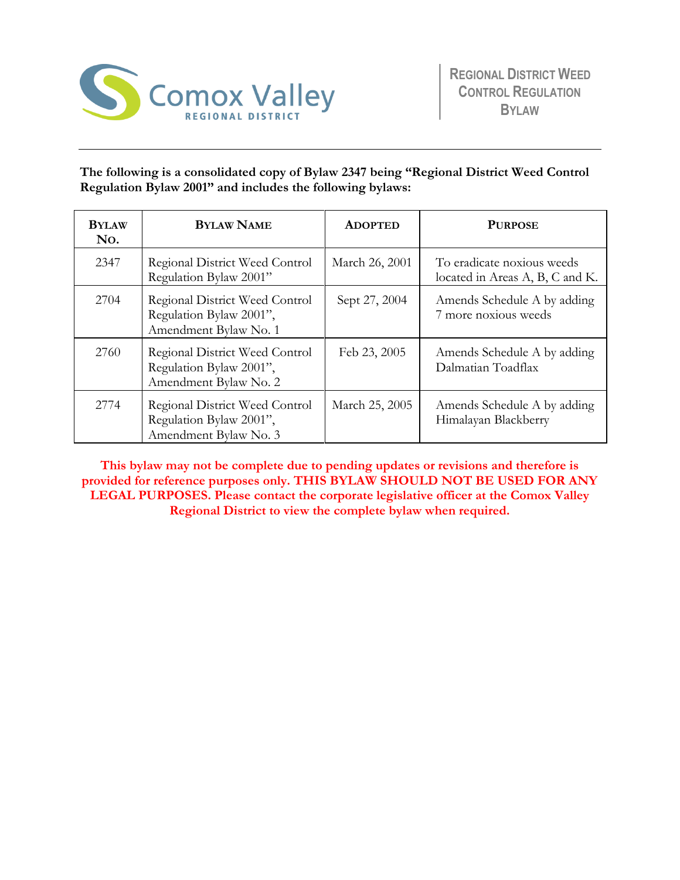

# **The following is a consolidated copy of Bylaw 2347 being "Regional District Weed Control Regulation Bylaw 2001" and includes the following bylaws:**

| <b>BYLAW</b><br>No. | <b>BYLAW NAME</b>                                                                  | <b>ADOPTED</b> | <b>PURPOSE</b>                                                |
|---------------------|------------------------------------------------------------------------------------|----------------|---------------------------------------------------------------|
| 2347                | Regional District Weed Control<br>Regulation Bylaw 2001"                           | March 26, 2001 | To eradicate noxious weeds<br>located in Areas A, B, C and K. |
| 2704                | Regional District Weed Control<br>Regulation Bylaw 2001",<br>Amendment Bylaw No. 1 | Sept 27, 2004  | Amends Schedule A by adding<br>7 more noxious weeds           |
| 2760                | Regional District Weed Control<br>Regulation Bylaw 2001",<br>Amendment Bylaw No. 2 | Feb 23, 2005   | Amends Schedule A by adding<br>Dalmatian Toadflax             |
| 2774                | Regional District Weed Control<br>Regulation Bylaw 2001",<br>Amendment Bylaw No. 3 | March 25, 2005 | Amends Schedule A by adding<br>Himalayan Blackberry           |

**This bylaw may not be complete due to pending updates or revisions and therefore is provided for reference purposes only. THIS BYLAW SHOULD NOT BE USED FOR ANY LEGAL PURPOSES. Please contact the corporate legislative officer at the Comox Valley Regional District to view the complete bylaw when required.**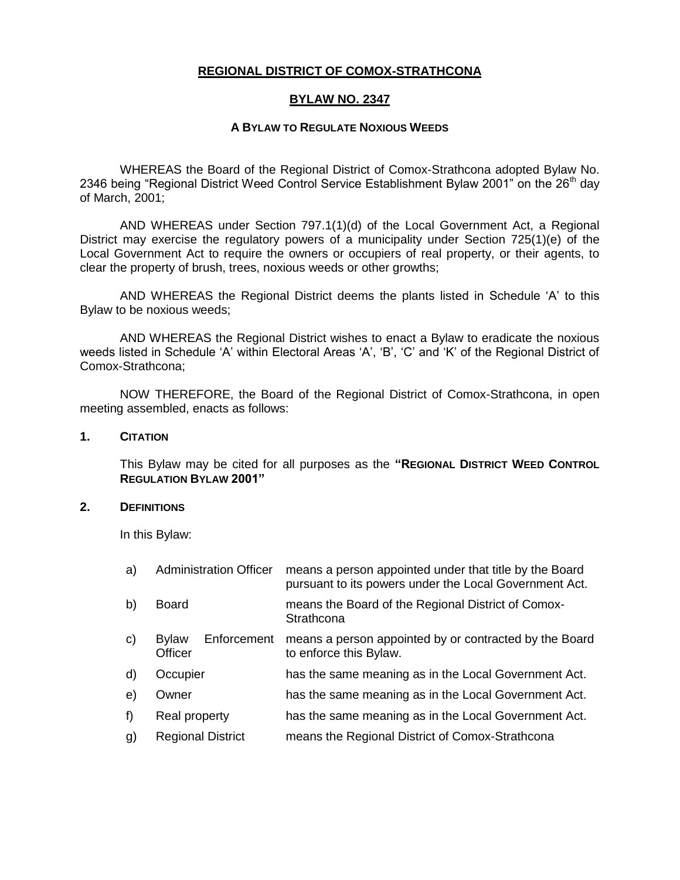## **REGIONAL DISTRICT OF COMOX-STRATHCONA**

## **BYLAW NO. 2347**

### **A BYLAW TO REGULATE NOXIOUS WEEDS**

WHEREAS the Board of the Regional District of Comox-Strathcona adopted Bylaw No. 2346 being "Regional District Weed Control Service Establishment Bylaw 2001" on the 26<sup>th</sup> day of March, 2001;

AND WHEREAS under Section 797.1(1)(d) of the Local Government Act, a Regional District may exercise the regulatory powers of a municipality under Section 725(1)(e) of the Local Government Act to require the owners or occupiers of real property, or their agents, to clear the property of brush, trees, noxious weeds or other growths;

AND WHEREAS the Regional District deems the plants listed in Schedule 'A' to this Bylaw to be noxious weeds;

AND WHEREAS the Regional District wishes to enact a Bylaw to eradicate the noxious weeds listed in Schedule 'A' within Electoral Areas 'A', 'B', 'C' and 'K' of the Regional District of Comox-Strathcona;

NOW THEREFORE, the Board of the Regional District of Comox-Strathcona, in open meeting assembled, enacts as follows:

### **1. CITATION**

This Bylaw may be cited for all purposes as the **"REGIONAL DISTRICT WEED CONTROL REGULATION BYLAW 2001"**

#### **2. DEFINITIONS**

In this Bylaw:

| a) | <b>Administration Officer</b> |             | means a person appointed under that title by the Board<br>pursuant to its powers under the Local Government Act. |  |
|----|-------------------------------|-------------|------------------------------------------------------------------------------------------------------------------|--|
| b) | <b>Board</b>                  |             | means the Board of the Regional District of Comox-<br>Strathcona                                                 |  |
| c) | <b>Bylaw</b><br>Officer       | Enforcement | means a person appointed by or contracted by the Board<br>to enforce this Bylaw.                                 |  |
| d) | Occupier                      |             | has the same meaning as in the Local Government Act.                                                             |  |
| e) | Owner                         |             | has the same meaning as in the Local Government Act.                                                             |  |
| f) | Real property                 |             | has the same meaning as in the Local Government Act.                                                             |  |
| g) | <b>Regional District</b>      |             | means the Regional District of Comox-Strathcona                                                                  |  |
|    |                               |             |                                                                                                                  |  |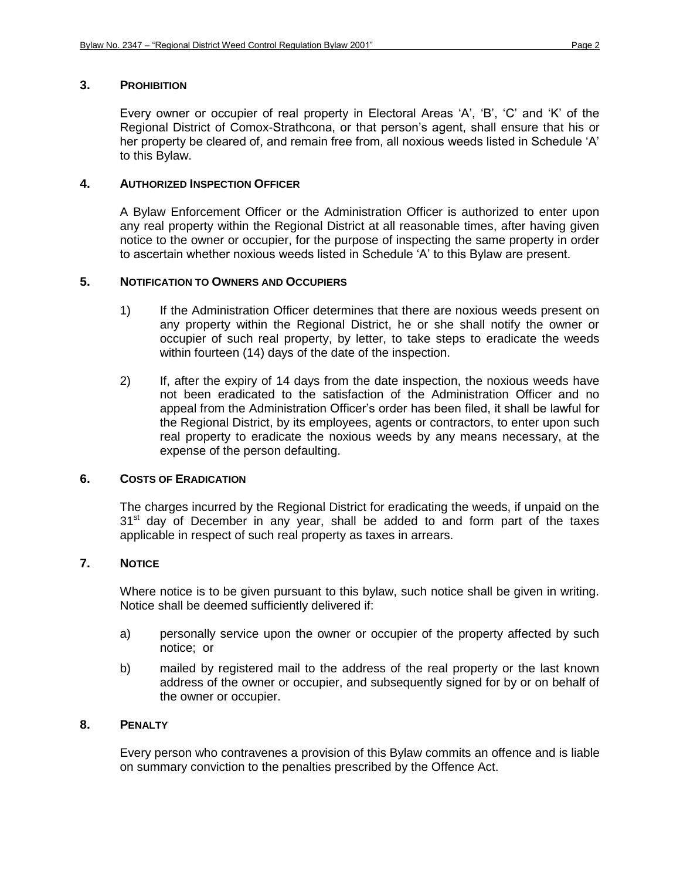### **3. PROHIBITION**

Every owner or occupier of real property in Electoral Areas 'A', 'B', 'C' and 'K' of the Regional District of Comox-Strathcona, or that person's agent, shall ensure that his or her property be cleared of, and remain free from, all noxious weeds listed in Schedule 'A' to this Bylaw.

## **4. AUTHORIZED INSPECTION OFFICER**

A Bylaw Enforcement Officer or the Administration Officer is authorized to enter upon any real property within the Regional District at all reasonable times, after having given notice to the owner or occupier, for the purpose of inspecting the same property in order to ascertain whether noxious weeds listed in Schedule 'A' to this Bylaw are present.

## **5. NOTIFICATION TO OWNERS AND OCCUPIERS**

- 1) If the Administration Officer determines that there are noxious weeds present on any property within the Regional District, he or she shall notify the owner or occupier of such real property, by letter, to take steps to eradicate the weeds within fourteen (14) days of the date of the inspection.
- 2) If, after the expiry of 14 days from the date inspection, the noxious weeds have not been eradicated to the satisfaction of the Administration Officer and no appeal from the Administration Officer's order has been filed, it shall be lawful for the Regional District, by its employees, agents or contractors, to enter upon such real property to eradicate the noxious weeds by any means necessary, at the expense of the person defaulting.

#### **6. COSTS OF ERADICATION**

The charges incurred by the Regional District for eradicating the weeds, if unpaid on the  $31<sup>st</sup>$  day of December in any year, shall be added to and form part of the taxes applicable in respect of such real property as taxes in arrears.

## **7. NOTICE**

Where notice is to be given pursuant to this bylaw, such notice shall be given in writing. Notice shall be deemed sufficiently delivered if:

- a) personally service upon the owner or occupier of the property affected by such notice; or
- b) mailed by registered mail to the address of the real property or the last known address of the owner or occupier, and subsequently signed for by or on behalf of the owner or occupier.

#### **8. PENALTY**

Every person who contravenes a provision of this Bylaw commits an offence and is liable on summary conviction to the penalties prescribed by the Offence Act.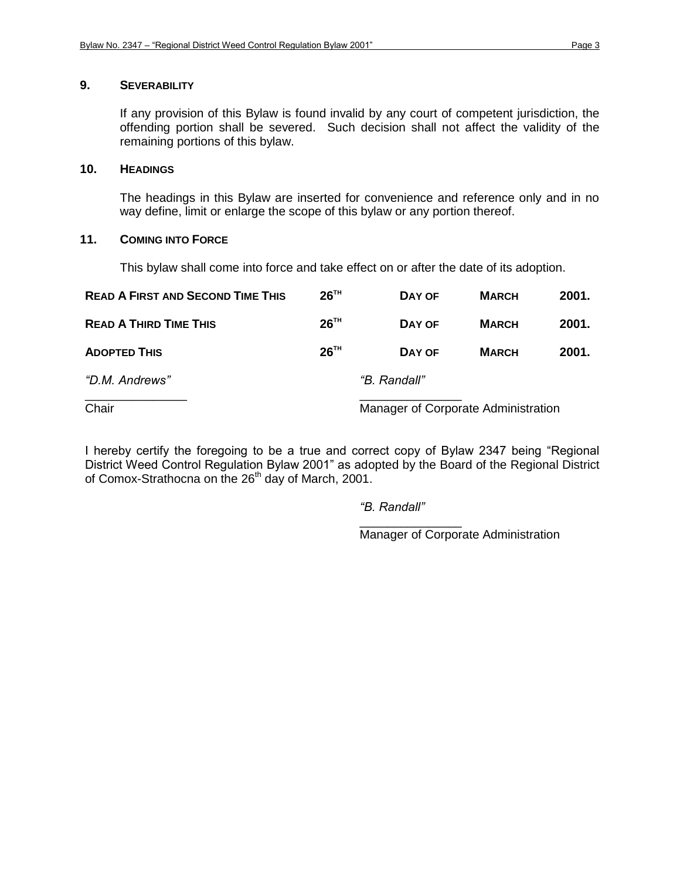## **9. SEVERABILITY**

If any provision of this Bylaw is found invalid by any court of competent jurisdiction, the offending portion shall be severed. Such decision shall not affect the validity of the remaining portions of this bylaw.

### **10. HEADINGS**

The headings in this Bylaw are inserted for convenience and reference only and in no way define, limit or enlarge the scope of this bylaw or any portion thereof.

## **11. COMING INTO FORCE**

This bylaw shall come into force and take effect on or after the date of its adoption.

| <b>READ A FIRST AND SECOND TIME THIS</b> | 26 <sup>TH</sup> | DAY OF                              | <b>MARCH</b> | 2001. |  |
|------------------------------------------|------------------|-------------------------------------|--------------|-------|--|
| <b>READ A THIRD TIME THIS</b>            | 26 <sup>TH</sup> | DAY OF                              | <b>MARCH</b> | 2001. |  |
| <b>ADOPTED THIS</b>                      | 26 <sup>TH</sup> | DAY OF                              | <b>MARCH</b> | 2001. |  |
| "D.M. Andrews"                           |                  | "B. Randall"                        |              |       |  |
| Chair                                    |                  | Manager of Corporate Administration |              |       |  |

I hereby certify the foregoing to be a true and correct copy of Bylaw 2347 being "Regional District Weed Control Regulation Bylaw 2001" as adopted by the Board of the Regional District of Comox-Strathocna on the 26<sup>th</sup> day of March, 2001.

*"B. Randall"*

\_\_\_\_\_\_\_\_\_\_\_\_\_\_\_ Manager of Corporate Administration